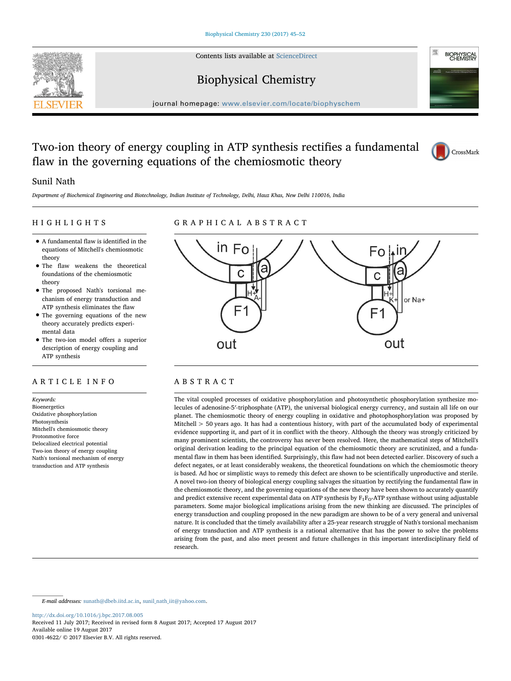Contents lists available at [ScienceDirect](http://www.sciencedirect.com/science/journal/03014622)





# Biophysical Chemistry

journal homepage: [www.elsevier.com/locate/biophyschem](http://www.elsevier.com/locate/biophyschem)

# Two-ion theory of energy coupling in ATP synthesis rectifies a fundamental flaw in the governing equations of the chemiosmotic theory



## Sunil Nath

Department of Biochemical Engineering and Biotechnology, Indian Institute of Technology, Delhi, Hauz Khas, New Delhi 110016, India

## HIGHLIGHTS

# GRAPHICAL ABSTRACT

- A fundamental flaw is identified in the equations of Mitchell's chemiosmotic theory
- The flaw weakens the theoretical foundations of the chemiosmotic theory
- The proposed Nath's torsional mechanism of energy transduction and ATP synthesis eliminates the flaw
- The governing equations of the new theory accurately predicts experimental data
- The two-ion model offers a superior description of energy coupling and ATP synthesis

## ARTICLE INFO

Keywords: Bioenergetics Oxidative phosphorylation Photosynthesis Mitchell's chemiosmotic theory Protonmotive force Delocalized electrical potential Two-ion theory of energy coupling Nath's torsional mechanism of energy transduction and ATP synthesis



## ABSTRACT

The vital coupled processes of oxidative phosphorylation and photosynthetic phosphorylation synthesize molecules of adenosine-5′-triphosphate (ATP), the universal biological energy currency, and sustain all life on our planet. The chemiosmotic theory of energy coupling in oxidative and photophosphorylation was proposed by Mitchell > 50 years ago. It has had a contentious history, with part of the accumulated body of experimental evidence supporting it, and part of it in conflict with the theory. Although the theory was strongly criticized by many prominent scientists, the controversy has never been resolved. Here, the mathematical steps of Mitchell's original derivation leading to the principal equation of the chemiosmotic theory are scrutinized, and a fundamental flaw in them has been identified. Surprisingly, this flaw had not been detected earlier. Discovery of such a defect negates, or at least considerably weakens, the theoretical foundations on which the chemiosmotic theory is based. Ad hoc or simplistic ways to remedy this defect are shown to be scientifically unproductive and sterile. A novel two-ion theory of biological energy coupling salvages the situation by rectifying the fundamental flaw in the chemiosmotic theory, and the governing equations of the new theory have been shown to accurately quantify and predict extensive recent experimental data on ATP synthesis by  $F_1F_0$ -ATP synthase without using adjustable parameters. Some major biological implications arising from the new thinking are discussed. The principles of energy transduction and coupling proposed in the new paradigm are shown to be of a very general and universal nature. It is concluded that the timely availability after a 25-year research struggle of Nath's torsional mechanism of energy transduction and ATP synthesis is a rational alternative that has the power to solve the problems arising from the past, and also meet present and future challenges in this important interdisciplinary field of research.

E-mail addresses: [sunath@dbeb.iitd.ac.in,](mailto:sunath@dbeb.iitd.ac.in) sunil nath iit@yahoo.com.

<http://dx.doi.org/10.1016/j.bpc.2017.08.005>

Received 11 July 2017; Received in revised form 8 August 2017; Accepted 17 August 2017 Available online 19 August 2017 0301-4622/ © 2017 Elsevier B.V. All rights reserved.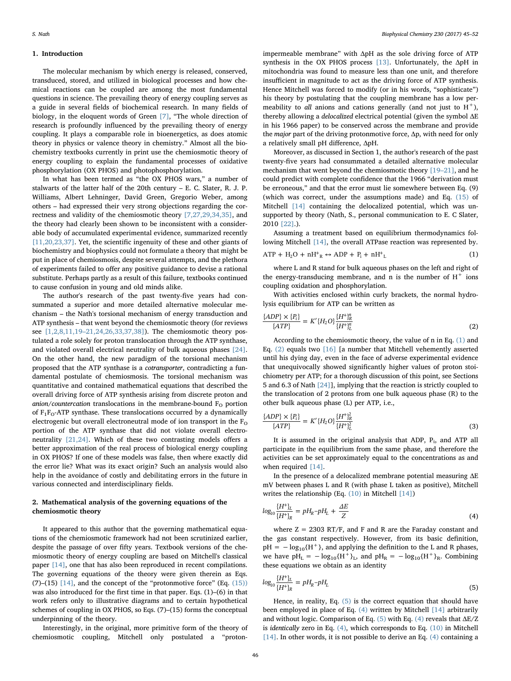#### 1. Introduction

The molecular mechanism by which energy is released, conserved, transduced, stored, and utilized in biological processes and how chemical reactions can be coupled are among the most fundamental questions in science. The prevailing theory of energy coupling serves as a guide in several fields of biochemical research. In many fields of biology, in the eloquent words of Green [\[7\]](#page-6-0), "The whole direction of research is profoundly influenced by the prevailing theory of energy coupling. It plays a comparable role in bioenergetics, as does atomic theory in physics or valence theory in chemistry." Almost all the biochemistry textbooks currently in print use the chemiosmotic theory of energy coupling to explain the fundamental processes of oxidative phosphorylation (OX PHOS) and photophosphorylation.

In what has been termed as "the OX PHOS wars," a number of stalwarts of the latter half of the 20th century – E. C. Slater, R. J. P. Williams, Albert Lehninger, David Green, Gregorio Weber, among others – had expressed their very strong objections regarding the correctness and validity of the chemiosmotic theory [\[7,27,29,34,35\],](#page-6-0) and the theory had clearly been shown to be inconsistent with a considerable body of accumulated experimental evidence, summarized recently [\[11,20,23,37\].](#page-6-1) Yet, the scientific ingenuity of these and other giants of biochemistry and biophysics could not formulate a theory that might be put in place of chemiosmosis, despite several attempts, and the plethora of experiments failed to offer any positive guidance to devise a rational substitute. Perhaps partly as a result of this failure, textbooks continued to cause confusion in young and old minds alike.

The author's research of the past twenty-five years had consummated a superior and more detailed alternative molecular mechanism – the Nath's torsional mechanism of energy transduction and ATP synthesis – that went beyond the chemiosmotic theory (for reviews see [1,2,8,11,19–[21,24,26,33,37,38\]](#page-6-2)). The chemiosmotic theory postulated a role solely for proton translocation through the ATP synthase, and violated overall electrical neutrality of bulk aqueous phases [\[24\]](#page-6-3). On the other hand, the new paradigm of the torsional mechanism proposed that the ATP synthase is a cotransporter, contradicting a fundamental postulate of chemiosmosis. The torsional mechanism was quantitative and contained mathematical equations that described the overall driving force of ATP synthesis arising from discrete proton and anion/countercation translocations in the membrane-bound  $F<sub>O</sub>$  portion of  $F_1F_0$ -ATP synthase. These translocations occurred by a dynamically electrogenic but overall electroneutral mode of ion transport in the  $F_{\Omega}$ portion of the ATP synthase that did not violate overall electroneutrality [\[21,24\]](#page-6-4). Which of these two contrasting models offers a better approximation of the real process of biological energy coupling in OX PHOS? If one of these models was false, then where exactly did the error lie? What was its exact origin? Such an analysis would also help in the avoidance of costly and debilitating errors in the future in various connected and interdisciplinary fields.

## <span id="page-1-4"></span>2. Mathematical analysis of the governing equations of the chemiosmotic theory

It appeared to this author that the governing mathematical equations of the chemiosmotic framework had not been scrutinized earlier, despite the passage of over fifty years. Textbook versions of the chemiosmotic theory of energy coupling are based on Mitchell's classical paper [\[14\]](#page-6-5), one that has also been reproduced in recent compilations. The governing equations of the theory were given therein as Eqs. (7)–(15)  $[14]$ , and the concept of the "protonmotive force" (Eq.  $(15)$ ) was also introduced for the first time in that paper. Eqs. (1)–(6) in that work refers only to illustrative diagrams and to certain hypothetical schemes of coupling in OX PHOS, so Eqs. (7)–(15) forms the conceptual underpinning of the theory.

Interestingly, in the original, more primitive form of the theory of chemiosmotic coupling, Mitchell only postulated a "protonimpermeable membrane" with ΔpH as the sole driving force of ATP synthesis in the OX PHOS process [\[13\]](#page-6-6). Unfortunately, the ΔpH in mitochondria was found to measure less than one unit, and therefore insufficient in magnitude to act as the driving force of ATP synthesis. Hence Mitchell was forced to modify (or in his words, "sophisticate") his theory by postulating that the coupling membrane has a low permeability to all anions and cations generally (and not just to  $H^+$ ), thereby allowing a delocalized electrical potential (given the symbol ΔE in his 1966 paper) to be conserved across the membrane and provide the major part of the driving protonmotive force, Δp, with need for only a relatively small pH difference, ΔpH.

Moreover, as discussed in Section 1, the author's research of the past twenty-five years had consummated a detailed alternative molecular mechanism that went beyond the chemiosmotic theory [19–[21\],](#page-6-7) and he could predict with complete confidence that the 1966 "derivation must be erroneous," and that the error must lie somewhere between Eq. (9) (which was correct, under the assumptions made) and Eq. [\(15\)](#page-4-0) of Mitchell [\[14\]](#page-6-5) containing the delocalized potential, which was unsupported by theory (Nath, S., personal communication to E. C Slater, 2010 [\[22\].](#page-6-8)).

<span id="page-1-0"></span>Assuming a treatment based on equilibrium thermodynamics following Mitchell [\[14\],](#page-6-5) the overall ATPase reaction was represented by.

$$
ATP + H_2O + nH^+R \leftrightarrow ADP + P_i + nH^+L \tag{1}
$$

where L and R stand for bulk aqueous phases on the left and right of the energy-transducing membrane, and n is the number of  $H^+$  ions coupling oxidation and phosphorylation.

<span id="page-1-1"></span>With activities enclosed within curly brackets, the normal hydrolysis equilibrium for ATP can be written as

$$
\frac{\{ADP\} \times \{P_i\}}{\{ATP\}} = K'\{H_2O\} \frac{\{H^+\}_{R}^n}{\{H^+\}_{L}^n}
$$
\n(2)

According to the chemiosmotic theory, the value of n in Eq. [\(1\)](#page-1-0) and Eq. [\(2\)](#page-1-1) equals two [\[16\]](#page-6-9) [a number that Mitchell vehemently asserted until his dying day, even in the face of adverse experimental evidence that unequivocally showed significantly higher values of proton stoichiometry per ATP; for a thorough discussion of this point, see Sections 5 and 6.3 of Nath [\[24\]](#page-6-3)], implying that the reaction is strictly coupled to the translocation of 2 protons from one bulk aqueous phase (R) to the other bulk aqueous phase (L) per ATP, i.e.,

$$
\frac{\{ADP\} \times \{P_i\}}{\{ATP\}} = K'\{H_2O\} \frac{\{H^+\}_{R}^2}{\{H^+\}_{L}^2}
$$
\n(3)

It is assumed in the original analysis that ADP,  $P_i$ , and ATP all participate in the equilibrium from the same phase, and therefore the activities can be set approximately equal to the concentrations as and when required [\[14\].](#page-6-5)

<span id="page-1-3"></span>In the presence of a delocalized membrane potential measuring  $\Delta E$ mV between phases L and R (with phase L taken as positive), Mitchell writes the relationship (Eq. [\(10\)](#page-4-1) in Mitchell [\[14\]\)](#page-6-5)

$$
log_{10}\frac{\{H^{+}\}_L}{\{H^{+}\}_R} = pH_R - pH_L + \frac{\Delta E}{Z}
$$
\n(4)

where  $Z = 2303$  RT/F, and F and R are the Faraday constant and the gas constant respectively. However, from its basic definition,  $pH = -log_{10}{H<sup>+</sup>}$ , and applying the definition to the L and R phases, we have  $pH_L = -log_{10}\{H^+\}_L$ , and  $pH_R = -log_{10}\{H^+\}_R$ . Combining these equations we obtain as an identity

<span id="page-1-2"></span>
$$
log_{10} \frac{\{H^+\}_L}{\{H^+\}_R} = pH_R - pH_L \tag{5}
$$

Hence, in reality, Eq. [\(5\)](#page-1-2) is the correct equation that should have been employed in place of Eq. [\(4\)](#page-1-3) written by Mitchell [\[14\]](#page-6-5) arbitrarily and without logic. Comparison of Eq.  $(5)$  with Eq.  $(4)$  reveals that  $\Delta E/Z$ is identically zero in Eq. [\(4\),](#page-1-3) which corresponds to Eq. [\(10\)](#page-4-1) in Mitchell [\[14\]](#page-6-5). In other words, it is not possible to derive an Eq. [\(4\)](#page-1-3) containing a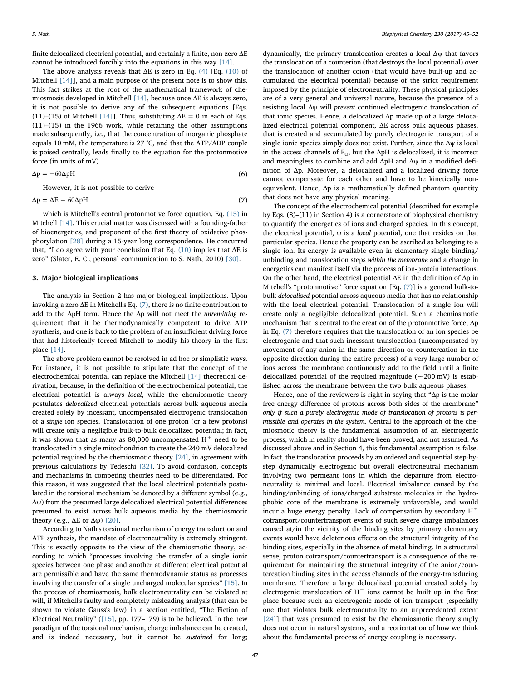finite delocalized electrical potential, and certainly a finite, non-zero ΔE cannot be introduced forcibly into the equations in this way [\[14\]](#page-6-5).

The above analysis reveals that  $\Delta E$  is zero in Eq. [\(4\)](#page-1-3) [Eq. [\(10\)](#page-4-1) of Mitchell [\[14\]\]](#page-6-5), and a main purpose of the present note is to show this. This fact strikes at the root of the mathematical framework of chemiosmosis developed in Mitchell [\[14\]](#page-6-5), because once ΔE is always zero, it is not possible to derive any of the subsequent equations [Eqs. (11)–(15) of Mitchell [\[14\]\]](#page-6-5). Thus, substituting  $\Delta E = 0$  in each of Eqs. (11)–(15) in the 1966 work, while retaining the other assumptions made subsequently, i.e., that the concentration of inorganic phosphate equals 10 mM, the temperature is 27 °C, and that the ATP/ADP couple is poised centrally, leads finally to the equation for the protonmotive force (in units of mV)

<span id="page-2-0"></span>
$$
\Delta p = -60 \Delta p H \tag{6}
$$

However, it is not possible to derive

$$
\Delta p = \Delta E - 60 \Delta p H \tag{7}
$$

which is Mitchell's central protonmotive force equation, Eq. [\(15\)](#page-4-0) in Mitchell [\[14\].](#page-6-5) This crucial matter was discussed with a founding-father of bioenergetics, and proponent of the first theory of oxidative phosphorylation [\[28\]](#page-7-0) during a 15-year long correspondence. He concurred that, "I do agree with your conclusion that Eq. [\(10\)](#page-4-1) implies that  $\Delta E$  is zero" (Slater, E. C., personal communication to S. Nath, 2010) [\[30\].](#page-7-1)

#### <span id="page-2-1"></span>3. Major biological implications

The analysis in Section 2 has major biological implications. Upon invoking a zero ΔE in Mitchell's Eq. [\(7\),](#page-2-0) there is no finite contribution to add to the ΔpH term. Hence the Δp will not meet the unremitting requirement that it be thermodynamically competent to drive ATP synthesis, and one is back to the problem of an insufficient driving force that had historically forced Mitchell to modify his theory in the first place [\[14\]](#page-6-5).

The above problem cannot be resolved in ad hoc or simplistic ways. For instance, it is not possible to stipulate that the concept of the electrochemical potential can replace the Mitchell [\[14\]](#page-6-5) theoretical derivation, because, in the definition of the electrochemical potential, the electrical potential is always local, while the chemiosmotic theory postulates delocalized electrical potentials across bulk aqueous media created solely by incessant, uncompensated electrogenic translocation of a single ion species. Translocation of one proton (or a few protons) will create only a negligible bulk-to-bulk delocalized potential; in fact, it was shown that as many as 80,000 uncompensated  $H^+$  need to be translocated in a single mitochondrion to create the 240 mV delocalized potential required by the chemiosmotic theory [\[24\],](#page-6-3) in agreement with previous calculations by Tedeschi [\[32\].](#page-7-2) To avoid confusion, concepts and mechanisms in competing theories need to be differentiated. For this reason, it was suggested that the local electrical potentials postulated in the torsional mechanism be denoted by a different symbol (e.g., Δψ) from the presumed large delocalized electrical potential differences presumed to exist across bulk aqueous media by the chemiosmotic theory (e.g.,  $ΔE$  or  $Δφ$ ) [\[20\]](#page-6-10).

According to Nath's torsional mechanism of energy transduction and ATP synthesis, the mandate of electroneutrality is extremely stringent. This is exactly opposite to the view of the chemiosmotic theory, according to which "processes involving the transfer of a single ionic species between one phase and another at different electrical potential are permissible and have the same thermodynamic status as processes involving the transfer of a single uncharged molecular species" [\[15\]](#page-6-11). In the process of chemiosmosis, bulk electroneutrality can be violated at will, if Mitchell's faulty and completely misleading analysis (that can be shown to violate Gauss's law) in a section entitled, "The Fiction of Electrical Neutrality" ([\[15\],](#page-6-11) pp. 177–179) is to be believed. In the new paradigm of the torsional mechanism, charge imbalance can be created, and is indeed necessary, but it cannot be sustained for long;

dynamically, the primary translocation creates a local Δψ that favors the translocation of a counterion (that destroys the local potential) over the translocation of another coion (that would have built-up and accumulated the electrical potential) because of the strict requirement imposed by the principle of electroneutrality. These physical principles are of a very general and universal nature, because the presence of a resisting local Δψ will prevent continued electrogenic translocation of that ionic species. Hence, a delocalized Δp made up of a large delocalized electrical potential component, ΔE across bulk aqueous phases, that is created and accumulated by purely electrogenic transport of a single ionic species simply does not exist. Further, since the  $\Delta \psi$  is local in the access channels of  $F<sub>O</sub>$ , but the  $\Delta pH$  is delocalized, it is incorrect and meaningless to combine and add ΔpH and Δψ in a modified definition of Δp. Moreover, a delocalized and a localized driving force cannot compensate for each other and have to be kinetically nonequivalent. Hence, Δp is a mathematically defined phantom quantity that does not have any physical meaning.

The concept of the electrochemical potential (described for example by Eqs. (8)–(11) in Section 4) is a cornerstone of biophysical chemistry to quantify the energetics of ions and charged species. In this concept, the electrical potential,  $\psi$  is a *local* potential, one that resides on that particular species. Hence the property can be ascribed as belonging to a single ion. Its energy is available even in elementary single binding/ unbinding and translocation steps within the membrane and a change in energetics can manifest itself via the process of ion-protein interactions. On the other hand, the electrical potential  $\Delta E$  in the definition of  $\Delta p$  in Mitchell's "protonmotive" force equation [Eq. [\(7\)](#page-2-0)] is a general bulk-tobulk delocalized potential across aqueous media that has no relationship with the local electrical potential. Translocation of a single ion will create only a negligible delocalized potential. Such a chemiosmotic mechanism that is central to the creation of the protonmotive force, Δp in Eq. [\(7\)](#page-2-0) therefore requires that the translocation of an ion species be electrogenic and that such incessant translocation (uncompensated by movement of any anion in the same direction or countercation in the opposite direction during the entire process) of a very large number of ions across the membrane continuously add to the field until a finite delocalized potential of the required magnitude  $(-200 \text{ mV})$  is established across the membrane between the two bulk aqueous phases.

Hence, one of the reviewers is right in saying that " $\Delta p$  is the molar free energy difference of protons across both sides of the membrane" only if such a purely electrogenic mode of translocation of protons is permissible and operates in the system. Central to the approach of the chemiosmotic theory is the fundamental assumption of an electrogenic process, which in reality should have been proved, and not assumed. As discussed above and in Section 4, this fundamental assumption is false. In fact, the translocation proceeds by an ordered and sequential step-bystep dynamically electrogenic but overall electroneutral mechanism involving two permeant ions in which the departure from electroneutrality is minimal and local. Electrical imbalance caused by the binding/unbinding of ions/charged substrate molecules in the hydrophobic core of the membrane is extremely unfavorable, and would incur a huge energy penalty. Lack of compensation by secondary  $H^+$ cotransport/countertransport events of such severe charge imbalances caused at/in the vicinity of the binding sites by primary elementary events would have deleterious effects on the structural integrity of the binding sites, especially in the absence of metal binding. In a structural sense, proton cotransport/countertransport is a consequence of the requirement for maintaining the structural integrity of the anion/countercation binding sites in the access channels of the energy-transducing membrane. Therefore a large delocalized potential created solely by electrogenic translocation of  $H^+$  ions cannot be built up in the first place because such an electrogenic mode of ion transport [especially one that violates bulk electroneutrality to an unprecedented extent [\[24\]](#page-6-3)] that was presumed to exist by the chemiosmotic theory simply does not occur in natural systems, and a reorientation of how we think about the fundamental process of energy coupling is necessary.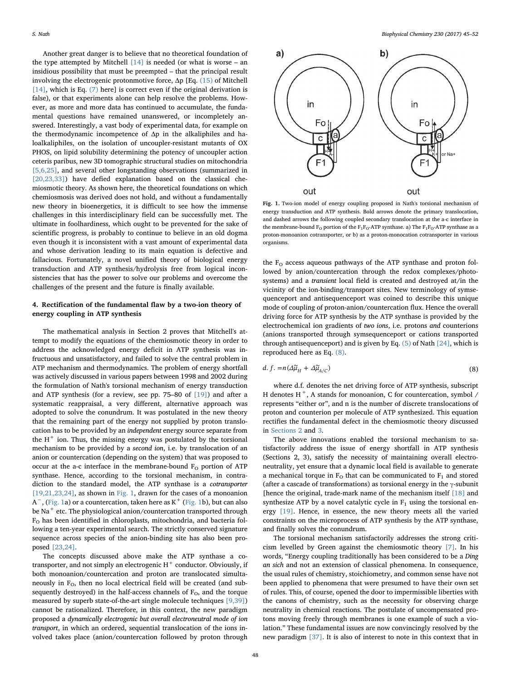Another great danger is to believe that no theoretical foundation of the type attempted by Mitchell  $[14]$  is needed (or what is worse – an insidious possibility that must be preempted – that the principal result involving the electrogenic protonmotive force, Δp [Eq. [\(15\)](#page-4-0) of Mitchell [\[14\]](#page-6-5), which is Eq. [\(7\)](#page-2-0) here] is correct even if the original derivation is false), or that experiments alone can help resolve the problems. However, as more and more data has continued to accumulate, the fundamental questions have remained unanswered, or incompletely answered. Interestingly, a vast body of experimental data, for example on the thermodynamic incompetence of  $\Delta p$  in the alkaliphiles and haloalkaliphiles, on the isolation of uncoupler-resistant mutants of OX PHOS, on lipid solubility determining the potency of uncoupler action ceteris paribus, new 3D tomographic structural studies on mitochondria [\[5,6,25\],](#page-6-12) and several other longstanding observations (summarized in [\[20,23,33\]\)](#page-6-10) have defied explanation based on the classical chemiosmotic theory. As shown here, the theoretical foundations on which chemiosmosis was derived does not hold, and without a fundamentally new theory in bioenergetics, it is difficult to see how the immense challenges in this interdisciplinary field can be successfully met. The ultimate in foolhardiness, which ought to be prevented for the sake of scientific progress, is probably to continue to believe in an old dogma even though it is inconsistent with a vast amount of experimental data and whose derivation leading to its main equation is defective and fallacious. Fortunately, a novel unified theory of biological energy transduction and ATP synthesis/hydrolysis free from logical inconsistencies that has the power to solve our problems and overcome the challenges of the present and the future is finally available.

### 4. Rectification of the fundamental flaw by a two-ion theory of energy coupling in ATP synthesis

The mathematical analysis in Section 2 proves that Mitchell's attempt to modify the equations of the chemiosmotic theory in order to address the acknowledged energy deficit in ATP synthesis was infructuous and unsatisfactory, and failed to solve the central problem in ATP mechanism and thermodynamics. The problem of energy shortfall was actively discussed in various papers between 1998 and 2002 during the formulation of Nath's torsional mechanism of energy transduction and ATP synthesis (for a review, see pp. 75–80 of [\[19\]\)](#page-6-7) and after a systematic reappraisal, a very different, alternative approach was adopted to solve the conundrum. It was postulated in the new theory that the remaining part of the energy not supplied by proton translocation has to be provided by an independent energy source separate from the  $H^+$  ion. Thus, the missing energy was postulated by the torsional mechanism to be provided by a second ion, i.e. by translocation of an anion or countercation (depending on the system) that was proposed to occur at the a-c interface in the membrane-bound  $F<sub>O</sub>$  portion of ATP synthase. Hence, according to the torsional mechanism, in contradiction to the standard model, the ATP synthase is a cotransporter [\[19,21,23,24\],](#page-6-7) as shown in [Fig. 1](#page-3-0), drawn for the cases of a monoanion  $\textsf{A}^-$ , [\(Fig. 1a](#page-3-0)) or a countercation, taken here as  $\textsf{K}^+$  [\(Fig. 1b](#page-3-0)), but can also be Na<sup>+</sup> etc. The physiological anion/countercation transported through F<sub>O</sub> has been identified in chloroplasts, mitochondria, and bacteria following a ten-year experimental search. The strictly conserved signature sequence across species of the anion-binding site has also been proposed [\[23,24\].](#page-6-13)

The concepts discussed above make the ATP synthase a cotransporter, and not simply an electrogenic  $H^+$  conductor. Obviously, if both monoanion/countercation and proton are translocated simultaneously in  $F<sub>O</sub>$ , then no local electrical field will be created (and subsequently destroyed) in the half-access channels of  $F<sub>O</sub>$ , and the torque measured by superb state-of-the-art single molecule techniques [\[9,39\]\)](#page-6-14) cannot be rationalized. Therefore, in this context, the new paradigm proposed a dynamically electrogenic but overall electroneutral mode of ion transport, in which an ordered, sequential translocation of the ions involved takes place (anion/countercation followed by proton through

<span id="page-3-0"></span>

Fig. 1. Two-ion model of energy coupling proposed in Nath's torsional mechanism of energy transduction and ATP synthesis. Bold arrows denote the primary translocation, and dashed arrows the following coupled secondary translocation at the a-c interface in the membrane-bound  $F_O$  portion of the  $F_1F_O$ -ATP synthase. a) The  $F_1F_O$ -ATP synthase as a proton-monoanion cotransporter, or b) as a proton-monocation cotransporter in various organisms.

the  $F<sub>O</sub>$  access aqueous pathways of the ATP synthase and proton followed by anion/countercation through the redox complexes/photosystems) and a transient local field is created and destroyed at/in the vicinity of the ion-binding/transport sites. New terminology of symsequenceport and antisequenceport was coined to describe this unique mode of coupling of proton-anion/countercation flux. Hence the overall driving force for ATP synthesis by the ATP synthase is provided by the electrochemical ion gradients of two ions, i.e. protons and counterions (anions transported through symsequenceport or cations transported through antisequenceport) and is given by Eq. [\(5\)](#page-1-2) of Nath [\[24\],](#page-6-3) which is reproduced here as Eq. [\(8\).](#page-3-1)

<span id="page-3-1"></span>
$$
d. f. = n(\Delta \widetilde{\mu}_H + \Delta \widetilde{\mu}_{A/C}) \tag{8}
$$

where d.f. denotes the net driving force of ATP synthesis, subscript H denotes  $H^+$ , A stands for monoanion, C for countercation, symbol / represents "either or", and n is the number of discrete translocations of proton and counterion per molecule of ATP synthesized. This equation rectifies the fundamental defect in the chemiosmotic theory discussed in [Sections 2](#page-1-4) and [3](#page-2-1).

The above innovations enabled the torsional mechanism to satisfactorily address the issue of energy shortfall in ATP synthesis (Sections 2, 3), satisfy the necessity of maintaining overall electroneutrality, yet ensure that a dynamic local field is available to generate a mechanical torque in  $F<sub>O</sub>$  that can be communicated to  $F<sub>1</sub>$  and stored (after a cascade of transformations) as torsional energy in the  $\gamma$ -subunit [hence the original, trade-mark name of the mechanism itself [\[18\]](#page-6-15) and synthesize ATP by a novel catalytic cycle in  $F_1$  using the torsional energy [\[19\].](#page-6-7) Hence, in essence, the new theory meets all the varied constraints on the microprocess of ATP synthesis by the ATP synthase, and finally solves the conundrum.

The torsional mechanism satisfactorily addresses the strong criticism levelled by Green against the chemiosmotic theory [\[7\]](#page-6-0). In his words, "Energy coupling traditionally has been considered to be a Ding an sich and not an extension of classical phenomena. In consequence, the usual rules of chemistry, stoichiometry, and common sense have not been applied to phenomena that were presumed to have their own set of rules. This, of course, opened the door to impermissible liberties with the canons of chemistry, such as the necessity for observing charge neutrality in chemical reactions. The postulate of uncompensated protons moving freely through membranes is one example of such a violation." These fundamental issues are now convincingly resolved by the new paradigm [\[37\].](#page-7-3) It is also of interest to note in this context that in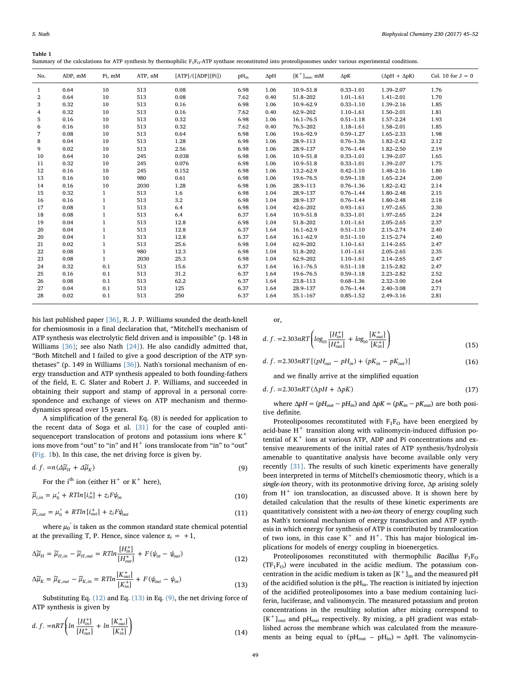<span id="page-4-5"></span>Table 1

Summary of the calculations for ATP synthesis by thermophilic  $F_1F_0$ -ATP synthase reconstituted into proteoliposomes under various experimental conditions.

| No.            | ADP, mM | Pi, mM       | ATP, nM | [ATP]/([ADP][Pi]) | $pH_{in}$ | $\Delta$ pH | $[K^+]_{\text{out}}$ , mM | $\Delta pK$   | $(\Delta pH + \Delta pK)$ | Col. 10 for $J = 0$ |
|----------------|---------|--------------|---------|-------------------|-----------|-------------|---------------------------|---------------|---------------------------|---------------------|
| $\mathbf{1}$   | 0.64    | 10           | 513     | 0.08              | 6.98      | 1.06        | 10.9-51.8                 | $0.33 - 1.01$ | 1.39-2.07                 | 1.76                |
| $\overline{2}$ | 0.64    | 10           | 513     | 0.08              | 7.62      | 0.40        | 51.8-202                  | $1.01 - 1.61$ | $1.41 - 2.01$             | 1.70                |
| 3              | 0.32    | 10           | 513     | 0.16              | 6.98      | 1.06        | 10.9-62.9                 | $0.33 - 1.10$ | 1.39-2.16                 | 1.85                |
| 4              | 0.32    | 10           | 513     | 0.16              | 7.62      | 0.40        | 62.9-202                  | $1.10 - 1.61$ | 1.50-2.01                 | 1.81                |
| 5              | 0.16    | 10           | 513     | 0.32              | 6.98      | 1.06        | $16.1 - 76.5$             | $0.51 - 1.18$ | $1.57 - 2.24$             | 1.93                |
| 6              | 0.16    | 10           | 513     | 0.32              | 7.62      | 0.40        | 76.5-202                  | $1.18 - 1.61$ | 1.58-2.01                 | 1.85                |
| 7              | 0.08    | 10           | 513     | 0.64              | 6.98      | 1.06        | 19.6-92.9                 | $0.59 - 1.27$ | 1.65-2.33                 | 1.98                |
| 8              | 0.04    | 10           | 513     | 1.28              | 6.98      | 1.06        | 28.9-113                  | $0.76 - 1.36$ | $1.82 - 2.42$             | 2.12                |
| 9              | 0.02    | 10           | 513     | 2.56              | 6.98      | 1.06        | 28.9-137                  | $0.76 - 1.44$ | 1.82-2.50                 | 2.19                |
| 10             | 0.64    | 10           | 245     | 0.038             | 6.98      | 1.06        | 10.9-51.8                 | $0.33 - 1.01$ | 1.39-2.07                 | 1.65                |
| 11             | 0.32    | 10           | 245     | 0.076             | 6.98      | 1.06        | 10.9-51.8                 | $0.33 - 1.01$ | 1.39-2.07                 | 1.75                |
| 12             | 0.16    | 10           | 245     | 0.152             | 6.98      | 1.06        | 13.2-62.9                 | $0.42 - 1.10$ | 1.48-2.16                 | 1.80                |
| 13             | 0.16    | 10           | 980     | 0.61              | 6.98      | 1.06        | 19.6-76.5                 | $0.59 - 1.18$ | $1.65 - 2.24$             | 2.00                |
| 14             | 0.16    | 10           | 2030    | 1.28              | 6.98      | 1.06        | 28.9-113                  | $0.76 - 1.36$ | $1.82 - 2.42$             | 2.14                |
| 15             | 0.32    | $\mathbf{1}$ | 513     | 1.6               | 6.98      | 1.04        | 28.9-137                  | $0.76 - 1.44$ | $1.80 - 2.48$             | 2.15                |
| 16             | 0.16    | $\mathbf{1}$ | 513     | 3.2               | 6.98      | 1.04        | 28.9-137                  | $0.76 - 1.44$ | $1.80 - 2.48$             | 2.18                |
| 17             | 0.08    | $\mathbf{1}$ | 513     | 6.4               | 6.98      | 1.04        | 42.6-202                  | $0.93 - 1.61$ | 1.97-2.65                 | 2.30                |
| 18             | 0.08    | $\mathbf{1}$ | 513     | 6.4               | 6.37      | 1.64        | 10.9-51.8                 | $0.33 - 1.01$ | $1.97 - 2.65$             | 2.24                |
| 19             | 0.04    | $\mathbf{1}$ | 513     | 12.8              | 6.98      | 1.04        | 51.8-202                  | $1.01 - 1.61$ | $2.05 - 2.65$             | 2.37                |
| 20             | 0.04    | $\mathbf{1}$ | 513     | 12.8              | 6.37      | 1.64        | $16.1 - 62.9$             | $0.51 - 1.10$ | $2.15 - 2.74$             | 2.40                |
| 20             | 0.04    | $\mathbf{1}$ | 513     | 12.8              | 6.37      | 1.64        | $16.1 - 62.9$             | $0.51 - 1.10$ | $2.15 - 2.74$             | 2.40                |
| 21             | 0.02    | $\mathbf{1}$ | 513     | 25.6              | 6.98      | 1.04        | 62.9-202                  | $1.10 - 1.61$ | $2.14 - 2.65$             | 2.47                |
| 22             | 0.08    | $\mathbf{1}$ | 980     | 12.3              | 6.98      | 1.04        | 51.8-202                  | $1.01 - 1.61$ | $2.05 - 2.65$             | 2.35                |
| 23             | 0.08    | $\mathbf{1}$ | 2030    | 25.3              | 6.98      | 1.04        | 62.9-202                  | $1.10 - 1.61$ | $2.14 - 2.65$             | 2.47                |
| 24             | 0.32    | 0.1          | 513     | 15.6              | 6.37      | 1.64        | $16.1 - 76.5$             | $0.51 - 1.18$ | $2.15 - 2.82$             | 2.47                |
| 25             | 0.16    | 0.1          | 513     | 31.2              | 6.37      | 1.64        | 19.6-76.5                 | $0.59 - 1.18$ | $2.23 - 2.82$             | 2.52                |
| 26             | 0.08    | 0.1          | 513     | 62.2              | 6.37      | 1.64        | 23.8-113                  | $0.68 - 1.36$ | $2.32 - 3.00$             | 2.64                |
| 27             | 0.04    | 0.1          | 513     | 125               | 6.37      | 1.64        | 28.9-137                  | $0.76 - 1.44$ | $2.40 - 3.08$             | 2.71                |
| 28             | 0.02    | 0.1          | 513     | 250               | 6.37      | 1.64        | $35.1 - 167$              | $0.85 - 1.52$ | $2.49 - 3.16$             | 2.81                |

his last published paper [\[36\]](#page-7-4), R. J. P. Williams sounded the death-knell for chemiosmosis in a final declaration that, "Mitchell's mechanism of ATP synthesis was electrolytic field driven and is impossible" (p. 148 in Williams [\[36\]](#page-7-4); see also Nath [\[24\]\)](#page-6-3). He also candidly admitted that, "Both Mitchell and I failed to give a good description of the ATP synthetases" (p. 149 in Williams [\[36\]\)](#page-7-4). Nath's torsional mechanism of energy transduction and ATP synthesis appealed to both founding-fathers of the field, E. C. Slater and Robert J. P. Williams, and succeeded in obtaining their support and stamp of approval in a personal correspondence and exchange of views on ATP mechanism and thermodynamics spread over 15 years.

A simplification of the general Eq. (8) is needed for application to the recent data of Soga et al. [\[31\]](#page-7-5) for the case of coupled antisequenceport translocation of protons and potassium ions where  $K^+$ ions move from "out" to "in" and H<sup>+</sup> ions translocate from "in" to "out" ([Fig. 1b](#page-3-0)). In this case, the net driving force is given by.

$$
d. f. = n(\Delta \widetilde{\mu}_H + \Delta \widetilde{\mu}_K) \tag{9}
$$

<span id="page-4-1"></span>For the i<sup>th</sup> ion (either  $H^+$  or  $K^+$  here),

$$
\widetilde{\mu}_{i,in} = \mu_0' + RTln[i_{in}^+] + z_i F \psi_{in}
$$
\n(10)

$$
\widetilde{\mu}_{i,out} = \mu_0' + RTln[i_{out}^+] + z_i F \psi_{out}
$$
\n(11)

<span id="page-4-2"></span>where  $\mu_0^{'}$  is taken as the common standard state chemical potential at the prevailing T, P. Hence, since valence  $z_i = +1$ ,

$$
\Delta \widetilde{\mu}_H = \widetilde{\mu}_{H,in} - \widetilde{\mu}_{H,out} = R T ln \frac{[H_{in}^+]}{[H_{out}^+]} + F(\psi_{in} - \psi_{out})
$$
\n(12)

<span id="page-4-3"></span>
$$
\Delta \widetilde{\mu}_K = \widetilde{\mu}_{K,out} - \widetilde{\mu}_{K,in} = RTln \frac{[K_{out}^+]}{[K_{in}^+]} + F(\psi_{out} - \psi_{in})
$$
\n(13)

Substituting Eq. [\(12\)](#page-4-2) and Eq. [\(13\)](#page-4-3) in Eq. [\(9\),](#page-4-4) the net driving force of ATP synthesis is given by

d. f. = 
$$
nRT \left( ln \frac{[H_{in}^+]}{[H_{out}^+]} + ln \frac{[K_{out}^+]}{[K_{in}^+]} \right)
$$
 (14)

<span id="page-4-0"></span>or,

d. f. =2.303nRT 
$$
\left( \log_{10} \frac{[H_{in}^+]}{[H_{out}^+]} + \log_{10} \frac{[K_{out}^-]}{[K_{in}^+]} \right)
$$
 (15)

<span id="page-4-4"></span>
$$
d. f. = 2.303nRT [(pHout - pHin) + (pKin - pKout)]
$$
\n(16)

<span id="page-4-6"></span>and we finally arrive at the simplified equation

$$
d. f. = 2.303nRT(\Delta pH + \Delta pK)
$$
\n(17)

where  $\Delta pH = (pH_{out} - pH_{in})$  and  $\Delta pK = (pK_{in} - pK_{out})$  are both positive definite.

Proteoliposomes reconstituted with  $F_1F_0$  have been energized by acid-base  $H^+$  transition along with valinomycin-induced diffusion potential of  $K^+$  ions at various ATP, ADP and Pi concentrations and extensive measurements of the initial rates of ATP synthesis/hydrolysis amenable to quantitative analysis have become available only very recently [\[31\]](#page-7-5). The results of such kinetic experiments have generally been interpreted in terms of Mitchell's chemiosmotic theory, which is a single-ion theory, with its protonmotive driving force, Δp arising solely from  $H^+$  ion translocation, as discussed above. It is shown here by detailed calculation that the results of these kinetic experiments are quantitatively consistent with a two-ion theory of energy coupling such as Nath's torsional mechanism of energy transduction and ATP synthesis in which energy for synthesis of ATP is contributed by translocation of two ions, in this case  $K^+$  and  $H^+$ . This has major biological implications for models of energy coupling in bioenergetics.

Proteoliposomes reconstituted with thermophilic Bacillus  $F_1F_0$  $(TF_1F_0)$  were incubated in the acidic medium. The potassium concentration in the acidic medium is taken as  $[K^+]_{in}$  and the measured pH of the acidified solution is the  $pH_{in}$ . The reaction is initiated by injection of the acidified proteoliposomes into a base medium containing luciferin, luciferase, and valinomycin. The measured potassium and proton concentrations in the resulting solution after mixing correspond to  $[K^+]_{out}$  and pH<sub>out</sub> respectively. By mixing, a pH gradient was established across the membrane which was calculated from the measurements as being equal to ( $pH_{out} - pH_{in}$ ) =  $\Delta pH$ . The valinomycin-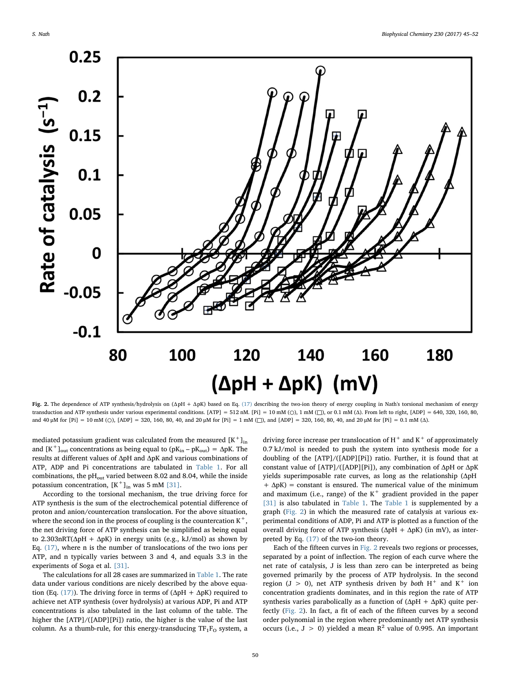<span id="page-5-0"></span>

Fig. 2. The dependence of ATP synthesis/hydrolysis on (ΔpH + ΔpK) based on Eq. [\(17\)](#page-4-6) describing the two-ion theory of energy coupling in Nath's torsional mechanism of energy transduction and ATP synthesis under various experimental conditions. [ATP] = 512 nM. [Pi] = 10 mM (○), 1 mM (□), or 0.1 mM (Δ). From left to right, [ADP] = 640, 320, 160, 80, and 40 μM for [Pi] = 10 mM (O), [ADP] = 320, 160, 80, 40, and 20 μM for [Pi] = 1 mM (□), and [ADP] = 320, 160, 80, 40, and 20 μM for [Pi] = 0.1 mM (Δ).

mediated potassium gradient was calculated from the measured  $[K^+]_{in}$ and  $[K^+]_{out}$  concentrations as being equal to  $(pK_{in} - pK_{out}) = \Delta pK$ . The results at different values of ΔpH and ΔpK and various combinations of ATP, ADP and Pi concentrations are tabulated in [Table 1](#page-4-5). For all combinations, the  $pH<sub>out</sub>$  varied between 8.02 and 8.04, while the inside potassium concentration,  $[K^+]_{in}$  was 5 mM [\[31\].](#page-7-5)

According to the torsional mechanism, the true driving force for ATP synthesis is the sum of the electrochemical potential difference of proton and anion/countercation translocation. For the above situation, where the second ion in the process of coupling is the countercation  $K^+$ the net driving force of ATP synthesis can be simplified as being equal to 2.303nRT( $\Delta$ pH +  $\Delta$ pK) in energy units (e.g., kJ/mol) as shown by Eq. [\(17\),](#page-4-6) where n is the number of translocations of the two ions per ATP, and n typically varies between 3 and 4, and equals 3.3 in the experiments of Soga et al. [\[31\]](#page-7-5).

The calculations for all 28 cases are summarized in [Table 1.](#page-4-5) The rate data under various conditions are nicely described by the above equa-tion (Eq. [\(17\)\)](#page-4-6). The driving force in terms of ( $\Delta$ pH +  $\Delta$ pK) required to achieve net ATP synthesis (over hydrolysis) at various ADP, Pi and ATP concentrations is also tabulated in the last column of the table. The higher the [ATP]/([ADP][Pi]) ratio, the higher is the value of the last column. As a thumb-rule, for this energy-transducing  $TF_1F_O$  system, a

driving force increase per translocation of  $H^+$  and  $K^+$  of approximately 0.7 kJ/mol is needed to push the system into synthesis mode for a doubling of the [ATP]/([ADP][Pi]) ratio. Further, it is found that at constant value of [ATP]/([ADP][Pi]), any combination of ΔpH or ΔpK yields superimposable rate curves, as long as the relationship (ΔpH  $+ \Delta pK$ ) = constant is ensured. The numerical value of the minimum and maximum (i.e., range) of the  $K^+$  gradient provided in the paper [\[31\]](#page-7-5) is also tabulated in [Table 1.](#page-4-5) The [Table 1](#page-4-5) is supplemented by a graph [\(Fig. 2](#page-5-0)) in which the measured rate of catalysis at various experimental conditions of ADP, Pi and ATP is plotted as a function of the overall driving force of ATP synthesis ( $ΔpH + ΔpK$ ) (in mV), as interpreted by Eq. [\(17\)](#page-4-6) of the two-ion theory.

Each of the fifteen curves in [Fig. 2](#page-5-0) reveals two regions or processes, separated by a point of inflection. The region of each curve where the net rate of catalysis, J is less than zero can be interpreted as being governed primarily by the process of ATP hydrolysis. In the second region (J > 0), net ATP synthesis driven by both  $H^+$  and  $K^+$  ion concentration gradients dominates, and in this region the rate of ATP synthesis varies parabolically as a function of  $(\Delta pH + \Delta pK)$  quite perfectly [\(Fig. 2](#page-5-0)). In fact, a fit of each of the fifteen curves by a second order polynomial in the region where predominantly net ATP synthesis occurs (i.e.,  $J > 0$ ) yielded a mean  $R^2$  value of 0.995. An important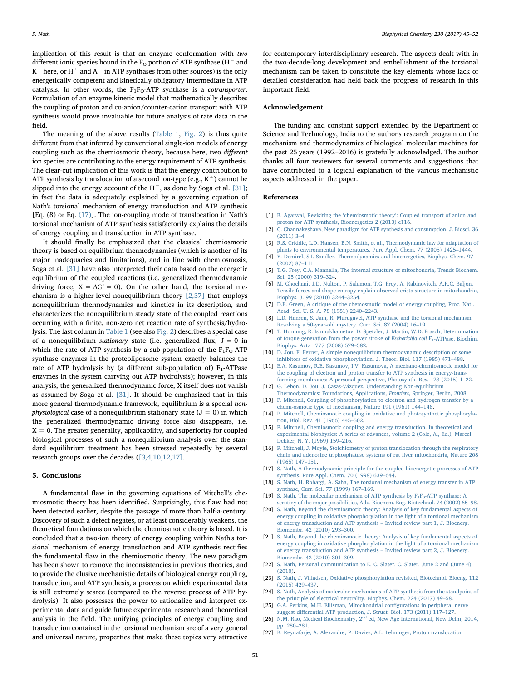implication of this result is that an enzyme conformation with two different ionic species bound in the  $F<sub>O</sub>$  portion of ATP synthase (H<sup>+</sup> and K<sup>+</sup> here, or H<sup>+</sup> and A<sup>-</sup> in ATP synthases from other sources) is the only energetically competent and kinetically obligatory intermediate in ATP catalysis. In other words, the  $F_1F_0$ -ATP synthase is a cotransporter. Formulation of an enzyme kinetic model that mathematically describes the coupling of proton and co-anion/counter-cation transport with ATP synthesis would prove invaluable for future analysis of rate data in the field.

The meaning of the above results [\(Table 1,](#page-4-5) [Fig. 2](#page-5-0)) is thus quite different from that inferred by conventional single-ion models of energy coupling such as the chemiosmotic theory, because here, two different ion species are contributing to the energy requirement of ATP synthesis. The clear-cut implication of this work is that the energy contribution to ATP synthesis by translocation of a second ion-type (e.g.,  $K^+$ ) cannot be slipped into the energy account of the  $H^+$ , as done by Soga et al. [\[31\]](#page-7-5); in fact the data is adequately explained by a governing equation of Nath's torsional mechanism of energy transduction and ATP synthesis [Eq. (8) or Eq. [\(17\)\]](#page-4-6). The ion-coupling mode of translocation in Nath's torsional mechanism of ATP synthesis satisfactorily explains the details of energy coupling and transduction in ATP synthase.

It should finally be emphasized that the classical chemiosmotic theory is based on equilibrium thermodynamics (which is another of its major inadequacies and limitations), and in line with chemiosmosis, Soga et al. [\[31\]](#page-7-5) have also interpreted their data based on the energetic equilibrium of the coupled reactions (i.e. generalized thermodynamic driving force,  $X = \Delta G' = 0$ ). On the other hand, the torsional mechanism is a higher-level nonequilibrium theory [\[2,37\]](#page-6-16) that employs nonequilibrium thermodynamics and kinetics in its description, and characterizes the nonequilibrium steady state of the coupled reactions occurring with a finite, non-zero net reaction rate of synthesis/hydrolysis. The last column in [Table 1](#page-4-5) (see also [Fig. 2\)](#page-5-0) describes a special case of a nonequilibrium stationary state (i.e. generalized flux,  $J = 0$  in which the rate of ATP synthesis by a sub-population of the  $F_1F_0$ -ATP synthase enzymes in the proteoliposome system exactly balances the rate of ATP hydrolysis by (a different sub-population of)  $F_1$ -ATPase enzymes in the system carrying out ATP hydrolysis); however, in this analysis, the generalized thermodynamic force, X itself does not vanish as assumed by Soga et al. [\[31\]](#page-7-5). It should be emphasized that in this more general thermodynamic framework, equilibrium is a special non*physiological* case of a nonequilibrium stationary state  $(J = 0)$  in which the generalized thermodynamic driving force also disappears, i.e.  $X = 0$ . The greater generality, applicability, and superiority for coupled biological processes of such a nonequilibrium analysis over the standard equilibrium treatment has been stressed repeatedly by several research groups over the decades ([\[3,4,10,12,17\]](#page-6-17).

#### 5. Conclusions

A fundamental flaw in the governing equations of Mitchell's chemiosmotic theory has been identified. Surprisingly, this flaw had not been detected earlier, despite the passage of more than half-a-century. Discovery of such a defect negates, or at least considerably weakens, the theoretical foundations on which the chemiosmotic theory is based. It is concluded that a two-ion theory of energy coupling within Nath's torsional mechanism of energy transduction and ATP synthesis rectifies the fundamental flaw in the chemiosmotic theory. The new paradigm has been shown to remove the inconsistencies in previous theories, and to provide the elusive mechanistic details of biological energy coupling, transduction, and ATP synthesis, a process on which experimental data is still extremely scarce (compared to the reverse process of ATP hydrolysis). It also possesses the power to rationalize and interpret experimental data and guide future experimental research and theoretical analysis in the field. The unifying principles of energy coupling and transduction contained in the torsional mechanism are of a very general and universal nature, properties that make these topics very attractive

for contemporary interdisciplinary research. The aspects dealt with in the two-decade-long development and embellishment of the torsional mechanism can be taken to constitute the key elements whose lack of detailed consideration had held back the progress of research in this important field.

#### Acknowledgement

The funding and constant support extended by the Department of Science and Technology, India to the author's research program on the mechanism and thermodynamics of biological molecular machines for the past 25 years (1992–2016) is gratefully acknowledged. The author thanks all four reviewers for several comments and suggestions that have contributed to a logical explanation of the various mechanistic aspects addressed in the paper.

### References

- <span id="page-6-2"></span>[1] B. Agarwal, Revisiting the 'chemiosmotic theory'[: Coupled transport of anion and](http://refhub.elsevier.com/S0301-4622(17)30281-8/rf0005) [proton for ATP synthesis, Bioenergetics 2 \(2013\) e116.](http://refhub.elsevier.com/S0301-4622(17)30281-8/rf0005)
- <span id="page-6-16"></span>[2] [C. Channakeshava, New paradigm for ATP synthesis and consumption, J. Biosci. 36](http://refhub.elsevier.com/S0301-4622(17)30281-8/rf0010) [\(2011\) 3](http://refhub.elsevier.com/S0301-4622(17)30281-8/rf0010)–4.
- <span id="page-6-17"></span>[3] [R.S. Criddle, L.D. Hansen, B.N. Smith, et al., Thermodynamic law for adaptation of](http://refhub.elsevier.com/S0301-4622(17)30281-8/rf0015) [plants to environmental temperatures, Pure Appl. Chem. 77 \(2005\) 1425](http://refhub.elsevier.com/S0301-4622(17)30281-8/rf0015)–1444.
- [4] [Y. Demirel, S.I. Sandler, Thermodynamics and bioenergetics, Biophys. Chem. 97](http://refhub.elsevier.com/S0301-4622(17)30281-8/rf0020) [\(2002\) 87](http://refhub.elsevier.com/S0301-4622(17)30281-8/rf0020)–111.
- <span id="page-6-12"></span>[5] [T.G. Frey, C.A. Mannella, The internal structure of mitochondria, Trends Biochem.](http://refhub.elsevier.com/S0301-4622(17)30281-8/rf0025) [Sci. 25 \(2000\) 319](http://refhub.elsevier.com/S0301-4622(17)30281-8/rf0025)–324.
- [6] [M. Ghochani, J.D. Nulton, P. Salamon, T.G. Frey, A. Rabinovitch, A.R.C. Baljon,](http://refhub.elsevier.com/S0301-4622(17)30281-8/rf0030) [Tensile forces and shape entropy explain observed crista structure in mitochondria,](http://refhub.elsevier.com/S0301-4622(17)30281-8/rf0030) [Biophys. J. 99 \(2010\) 3244](http://refhub.elsevier.com/S0301-4622(17)30281-8/rf0030)–3254.
- <span id="page-6-0"></span>[7] [D.E. Green, A critique of the chemosmotic model of energy coupling, Proc. Natl.](http://refhub.elsevier.com/S0301-4622(17)30281-8/rf0035) [Acad. Sci. U. S. A. 78 \(1981\) 2240](http://refhub.elsevier.com/S0301-4622(17)30281-8/rf0035)–2243.
- [8] [L.D. Hansen, S. Jain, R. Murugavel, ATP synthase and the torsional mechanism:](http://refhub.elsevier.com/S0301-4622(17)30281-8/rf0040) [Resolving a 50-year-old mystery, Curr. Sci. 87 \(2004\) 16](http://refhub.elsevier.com/S0301-4622(17)30281-8/rf0040)–19.
- <span id="page-6-14"></span>[9] [T. Hornung, R. Ishmukhametov, D. Spetzler, J. Martin, W.D. Frasch, Determination](http://refhub.elsevier.com/S0301-4622(17)30281-8/rf0045) [of torque generation from the power stroke of](http://refhub.elsevier.com/S0301-4622(17)30281-8/rf0045) Escherichia coli F1-ATPase, Biochim. [Biophys. Acta 1777 \(2008\) 579](http://refhub.elsevier.com/S0301-4622(17)30281-8/rf0045)–582.
- [10] [D. Jou, F. Ferrer, A simple nonequilibrium thermodynamic description of some](http://refhub.elsevier.com/S0301-4622(17)30281-8/rf0050) [inhibitors of oxidative phosphorylation, J. Theor. Biol. 117 \(1985\) 471](http://refhub.elsevier.com/S0301-4622(17)30281-8/rf0050)–488.
- <span id="page-6-1"></span>[11] [E.A. Kasumov, R.E. Kasumov, I.V. Kasumova, A mechano-chemiosmotic model for](http://refhub.elsevier.com/S0301-4622(17)30281-8/rf0055) [the coupling of electron and proton transfer to ATP synthesis in energy-trans](http://refhub.elsevier.com/S0301-4622(17)30281-8/rf0055)[forming membranes: A personal perspective, Photosynth. Res. 123 \(2015\) 1](http://refhub.elsevier.com/S0301-4622(17)30281-8/rf0055)–22.
- [12] [G. Lebon, D. Jou, J. Casas-Vázquez, Understanding Non-equilibrium](http://refhub.elsevier.com/S0301-4622(17)30281-8/rf0060) [Thermodynamics: Foundations, Applications,](http://refhub.elsevier.com/S0301-4622(17)30281-8/rf0060) Frontiers, Springer, Berlin, 2008.
- <span id="page-6-6"></span>[13] [P. Mitchell, Coupling of phosphorylation to electron and hydrogen transfer by a](http://refhub.elsevier.com/S0301-4622(17)30281-8/rf0065) [chemi-osmotic type of mechanism, Nature 191 \(1961\) 144](http://refhub.elsevier.com/S0301-4622(17)30281-8/rf0065)–148.
- <span id="page-6-5"></span>[14] [P. Mitchell, Chemiosmotic coupling in oxidative and photosynthetic phosphoryla](http://refhub.elsevier.com/S0301-4622(17)30281-8/rf0070)[tion, Biol. Rev. 41 \(1966\) 445](http://refhub.elsevier.com/S0301-4622(17)30281-8/rf0070)–502.
- <span id="page-6-11"></span>[15] [P. Mitchell, Chemiosmotic coupling and energy transduction. In theoretical and](http://refhub.elsevier.com/S0301-4622(17)30281-8/rf0075) [experimental biophysics: A series of advances, volume 2 \(Cole, A., Ed.\), Marcel](http://refhub.elsevier.com/S0301-4622(17)30281-8/rf0075) [Dekker, N. Y. \(1969\) 159](http://refhub.elsevier.com/S0301-4622(17)30281-8/rf0075)–216.
- <span id="page-6-9"></span>[16] [P. Mitchell, J. Moyle, Stoichiometry of proton translocation through the respiratory](http://refhub.elsevier.com/S0301-4622(17)30281-8/rf0080) [chain and adenosine triphosphatase systems of rat liver mitochondria, Nature 208](http://refhub.elsevier.com/S0301-4622(17)30281-8/rf0080) [\(1965\) 147](http://refhub.elsevier.com/S0301-4622(17)30281-8/rf0080)–151.
- [17] [S. Nath, A thermodynamic principle for the coupled bioenergetic processes of ATP](http://refhub.elsevier.com/S0301-4622(17)30281-8/rf0085) [synthesis, Pure Appl. Chem. 70 \(1998\) 639](http://refhub.elsevier.com/S0301-4622(17)30281-8/rf0085)–644.
- <span id="page-6-15"></span>[18] [S. Nath, H. Rohatgi, A. Saha, The torsional mechanism of energy transfer in ATP](http://refhub.elsevier.com/S0301-4622(17)30281-8/rf0090) [synthase, Curr. Sci. 77 \(1999\) 167](http://refhub.elsevier.com/S0301-4622(17)30281-8/rf0090)–169.
- <span id="page-6-7"></span>[19] S. Nath, The molecular mechanism of ATP synthesis by  $F_1F_0$ -ATP synthase: A
- <span id="page-6-10"></span>[scrutiny of the major possibilities, Adv. Biochem. Eng. Biotechnol. 74 \(2002\) 65](http://refhub.elsevier.com/S0301-4622(17)30281-8/rf0095)–98. [20] [S. Nath, Beyond the chemiosmotic theory: Analysis of key fundamental aspects of](http://refhub.elsevier.com/S0301-4622(17)30281-8/rf0100) [energy coupling in oxidative phosphorylation in the light of a torsional mechanism](http://refhub.elsevier.com/S0301-4622(17)30281-8/rf0100) [of energy transduction and ATP synthesis](http://refhub.elsevier.com/S0301-4622(17)30281-8/rf0100) – Invited review part 1, J. Bioenerg. [Biomembr. 42 \(2010\) 293](http://refhub.elsevier.com/S0301-4622(17)30281-8/rf0100)–300.
- <span id="page-6-4"></span>[21] [S. Nath, Beyond the chemiosmotic theory: Analysis of key fundamental aspects of](http://refhub.elsevier.com/S0301-4622(17)30281-8/rf0105) [energy coupling in oxidative phosphorylation in the light of a torsional mechanism](http://refhub.elsevier.com/S0301-4622(17)30281-8/rf0105) [of energy transduction and ATP synthesis](http://refhub.elsevier.com/S0301-4622(17)30281-8/rf0105) – Invited review part 2, J. Bioenerg. [Biomembr. 42 \(2010\) 301](http://refhub.elsevier.com/S0301-4622(17)30281-8/rf0105)–309.
- <span id="page-6-8"></span>[22] [S. Nath, Personal communication to E. C. Slater, C. Slater, June 2 and \(June 4\)](http://refhub.elsevier.com/S0301-4622(17)30281-8/rf0110) [\(2010\).](http://refhub.elsevier.com/S0301-4622(17)30281-8/rf0110)
- <span id="page-6-13"></span>[23] [S. Nath, J. Villadsen, Oxidative phosphorylation revisited, Biotechnol. Bioeng. 112](http://refhub.elsevier.com/S0301-4622(17)30281-8/rf0115) [\(2015\) 429](http://refhub.elsevier.com/S0301-4622(17)30281-8/rf0115)–437.
- <span id="page-6-3"></span>[24] [S. Nath, Analysis of molecular mechanisms of ATP synthesis from the standpoint of](http://refhub.elsevier.com/S0301-4622(17)30281-8/rf0120) [the principle of electrical neutrality, Biophys. Chem. 224 \(2017\) 49](http://refhub.elsevier.com/S0301-4622(17)30281-8/rf0120)–58.
- [25] [G.A. Perkins, M.H. Ellisman, Mitochondrial con](http://refhub.elsevier.com/S0301-4622(17)30281-8/rf0125)figurations in peripheral nerve suggest diff[erential ATP production, J. Struct. Biol. 173 \(2011\) 117](http://refhub.elsevier.com/S0301-4622(17)30281-8/rf0125)–127.
- [26] N.M. Rao, Medical Biochemistry, 2<sup>nd</sup> [ed, New Age International, New Delhi, 2014,](http://refhub.elsevier.com/S0301-4622(17)30281-8/rf0130) [pp. 280](http://refhub.elsevier.com/S0301-4622(17)30281-8/rf0130)–281.
- [27] [B. Reynafarje, A. Alexandre, P. Davies, A.L. Lehninger, Proton translocation](http://refhub.elsevier.com/S0301-4622(17)30281-8/rf0135)